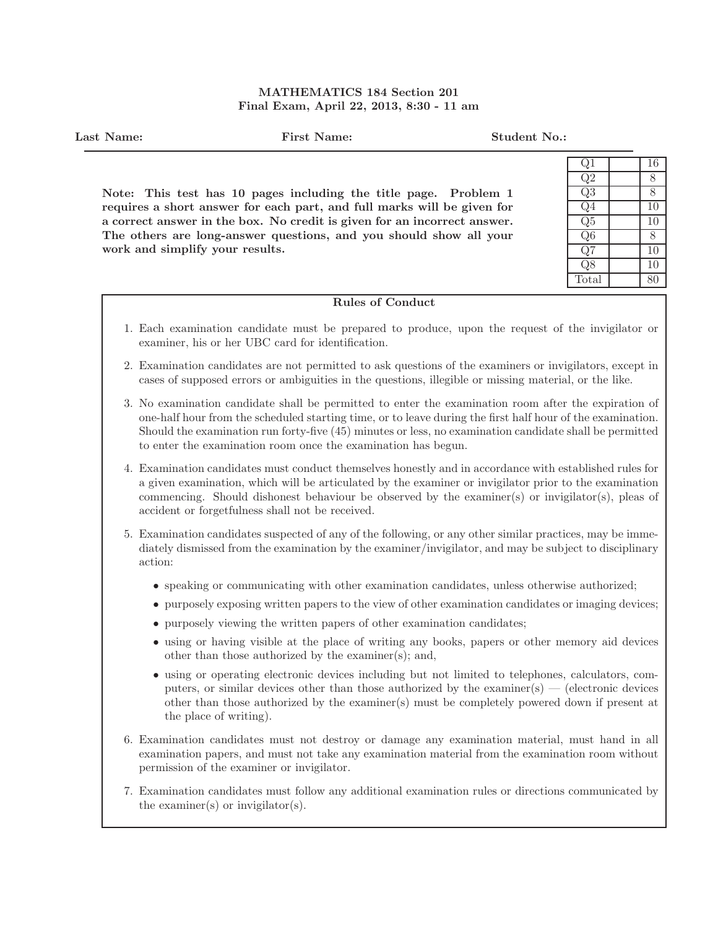## MATHEMATICS 184 Section 201 Final Exam, April 22, 2013, 8:30 - 11 am

Last Name: First Name: Student No.: Note: This test has 10 pages including the title page. Problem 1 requires a short answer for each part, and full marks will be given for a correct answer in the box. No credit is given for an incorrect answer. The others are long-answer questions, and you should show all your work and simplify your results.  $Q1$  | 16  $Q2$  8  $Q3$  8  $Q4$  10  $Q5$  10  $Q6$  | 8  $Q7$  10 Q8 10 Total 80 Rules of Conduct 1. Each examination candidate must be prepared to produce, upon the request of the invigilator or examiner, his or her UBC card for identification. 2. Examination candidates are not permitted to ask questions of the examiners or invigilators, except in cases of supposed errors or ambiguities in the questions, illegible or missing material, or the like.

- 3. No examination candidate shall be permitted to enter the examination room after the expiration of one-half hour from the scheduled starting time, or to leave during the first half hour of the examination. Should the examination run forty-five (45) minutes or less, no examination candidate shall be permitted to enter the examination room once the examination has begun.
- 4. Examination candidates must conduct themselves honestly and in accordance with established rules for a given examination, which will be articulated by the examiner or invigilator prior to the examination commencing. Should dishonest behaviour be observed by the examiner(s) or invigilator(s), pleas of accident or forgetfulness shall not be received.
- 5. Examination candidates suspected of any of the following, or any other similar practices, may be immediately dismissed from the examination by the examiner/invigilator, and may be subject to disciplinary action:
	- speaking or communicating with other examination candidates, unless otherwise authorized;
	- purposely exposing written papers to the view of other examination candidates or imaging devices;
	- purposely viewing the written papers of other examination candidates;
	- using or having visible at the place of writing any books, papers or other memory aid devices other than those authorized by the examiner(s); and,
	- using or operating electronic devices including but not limited to telephones, calculators, computers, or similar devices other than those authorized by the examiner(s) — (electronic devices other than those authorized by the examiner(s) must be completely powered down if present at the place of writing).
- 6. Examination candidates must not destroy or damage any examination material, must hand in all examination papers, and must not take any examination material from the examination room without permission of the examiner or invigilator.
- 7. Examination candidates must follow any additional examination rules or directions communicated by the examiner(s) or invigilator(s).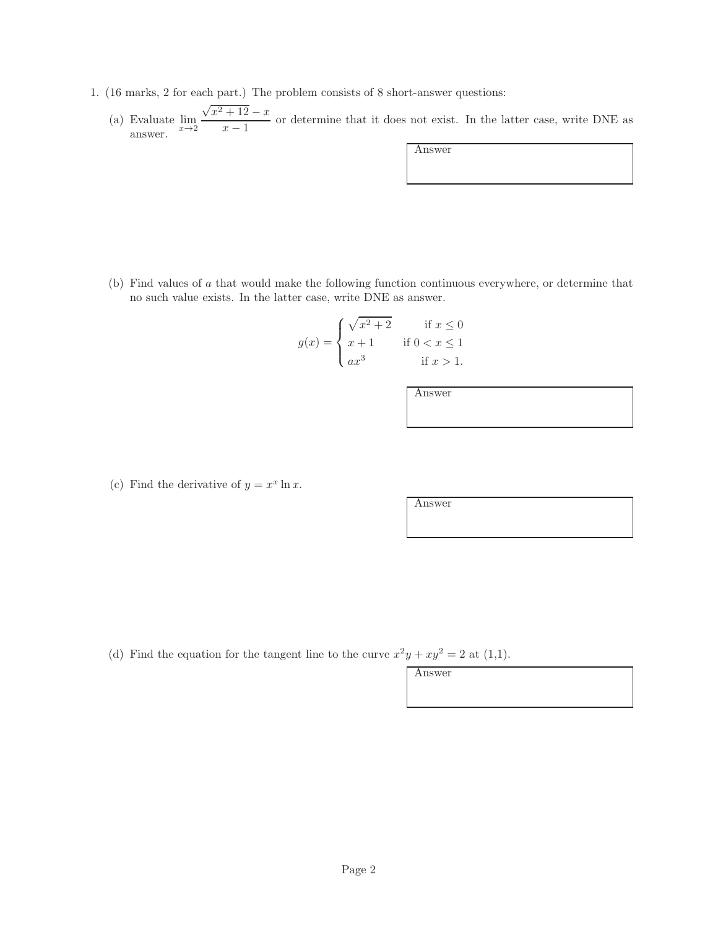- 1. (16 marks, 2 for each part.) The problem consists of 8 short-answer questions:
	- (a) Evaluate  $\lim_{x\to 2}$  $\sqrt{x^2+12}-x$  $\frac{x-2}{x-1}$  or determine that it does not exist. In the latter case, write DNE as answer.

Answer

(b) Find values of a that would make the following function continuous everywhere, or determine that no such value exists. In the latter case, write DNE as answer.

$$
g(x) = \begin{cases} \sqrt{x^2 + 2} & \text{if } x \le 0\\ x + 1 & \text{if } 0 < x \le 1\\ ax^3 & \text{if } x > 1. \end{cases}
$$

Answer

(c) Find the derivative of  $y = x^x \ln x$ .

Answer

(d) Find the equation for the tangent line to the curve  $x^2y + xy^2 = 2$  at (1,1).

Answer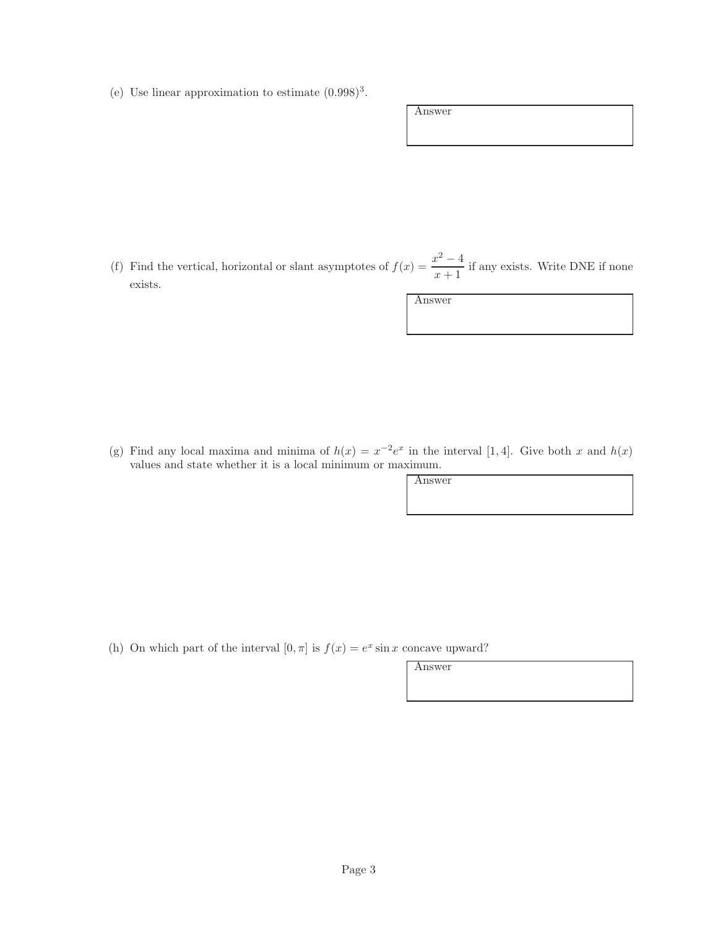(e) Use linear approximation to estimate  $(0.998)^3$ .

| Answer |  |
|--------|--|
|        |  |
|        |  |
|        |  |
|        |  |

(f) Find the vertical, horizontal or slant asymptotes of  $f(x) = \frac{x^2 - 4}{x-1}$  $\frac{x+1}{x+1}$  if any exists. Write DNE if none exists.

Answer

(g) Find any local maxima and minima of  $h(x) = x^{-2}e^x$  in the interval [1,4]. Give both x and  $h(x)$ values and state whether it is a local minimum or maximum.

Answer

(h) On which part of the interval  $[0, \pi]$  is  $f(x) = e^x \sin x$  concave upward?

Answer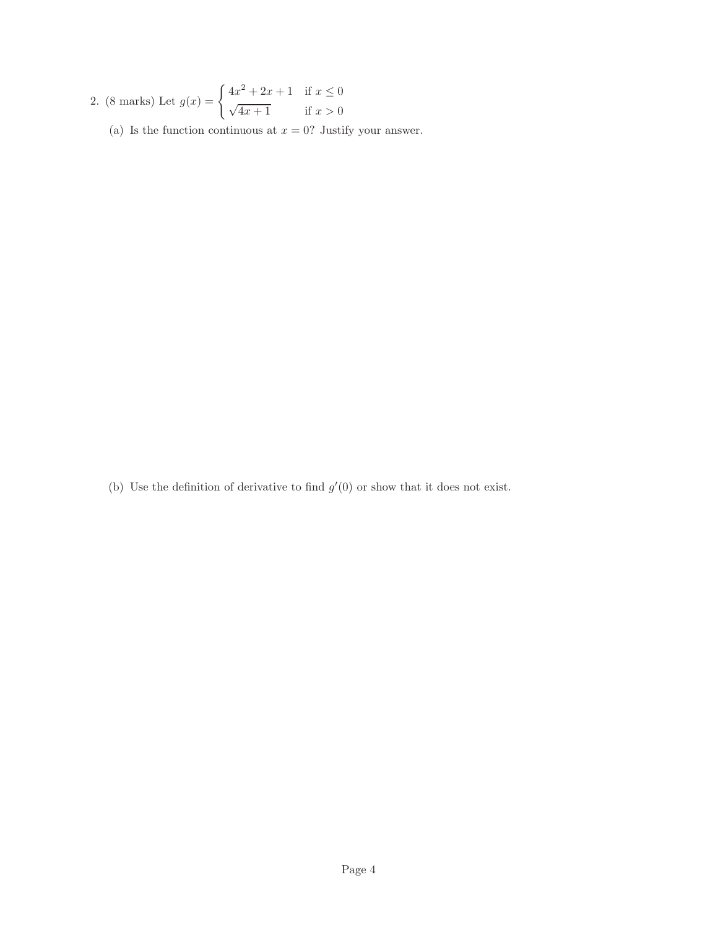2. (8 marks) Let 
$$
g(x) = \begin{cases} 4x^2 + 2x + 1 & \text{if } x \le 0 \\ \sqrt{4x + 1} & \text{if } x > 0 \end{cases}
$$

(a) Is the function continuous at  $x = 0$ ? Justify your answer.

(b) Use the definition of derivative to find  $g'(0)$  or show that it does not exist.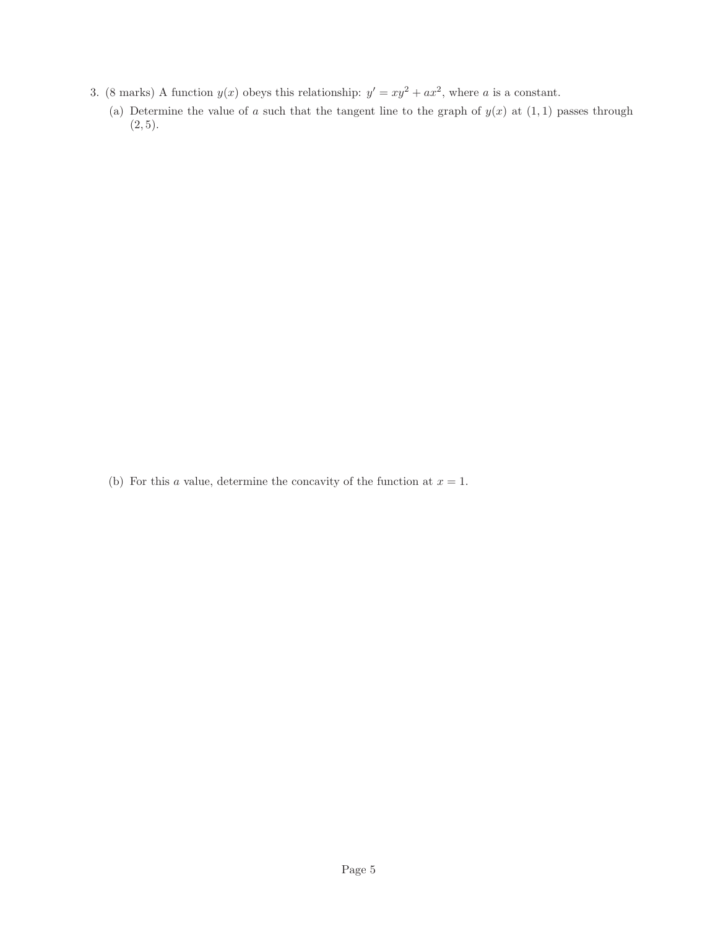- 3. (8 marks) A function  $y(x)$  obeys this relationship:  $y' = xy^2 + ax^2$ , where a is a constant.
	- (a) Determine the value of a such that the tangent line to the graph of  $y(x)$  at  $(1, 1)$  passes through  $(2, 5)$ .

(b) For this a value, determine the concavity of the function at  $x = 1$ .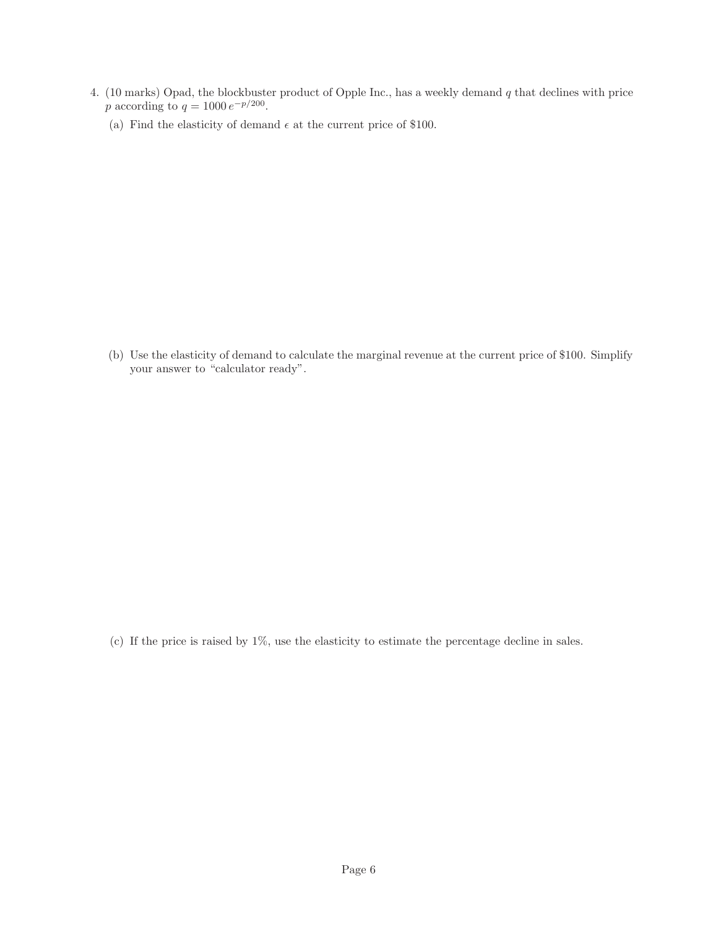- 4. (10 marks) Opad, the blockbuster product of Opple Inc., has a weekly demand q that declines with price p according to  $q = 1000 e^{-p/200}$ .
	- (a) Find the elasticity of demand  $\epsilon$  at the current price of \$100.

(b) Use the elasticity of demand to calculate the marginal revenue at the current price of \$100. Simplify your answer to "calculator ready".

(c) If the price is raised by 1%, use the elasticity to estimate the percentage decline in sales.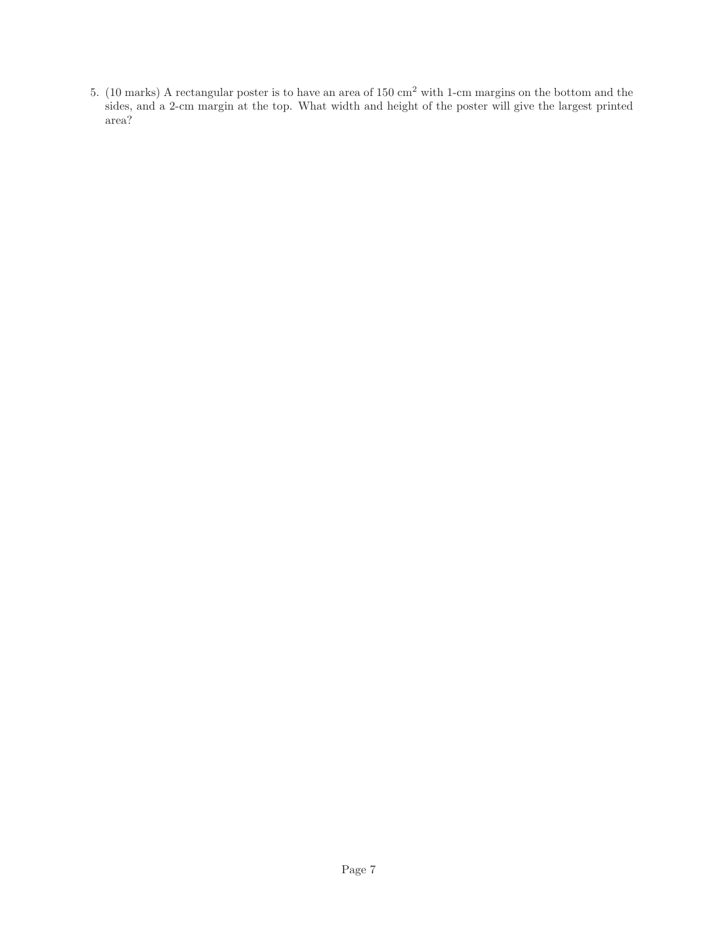5. (10 marks) A rectangular poster is to have an area of 150 cm<sup>2</sup> with 1-cm margins on the bottom and the sides, and a 2-cm margin at the top. What width and height of the poster will give the largest printed area?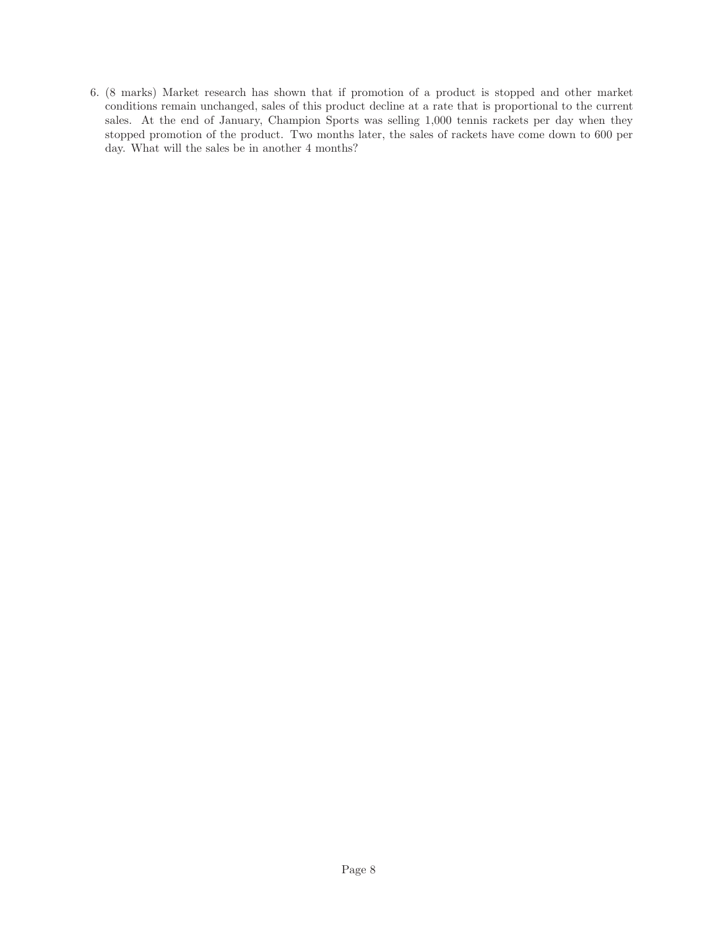6. (8 marks) Market research has shown that if promotion of a product is stopped and other market conditions remain unchanged, sales of this product decline at a rate that is proportional to the current sales. At the end of January, Champion Sports was selling 1,000 tennis rackets per day when they stopped promotion of the product. Two months later, the sales of rackets have come down to 600 per day. What will the sales be in another 4 months?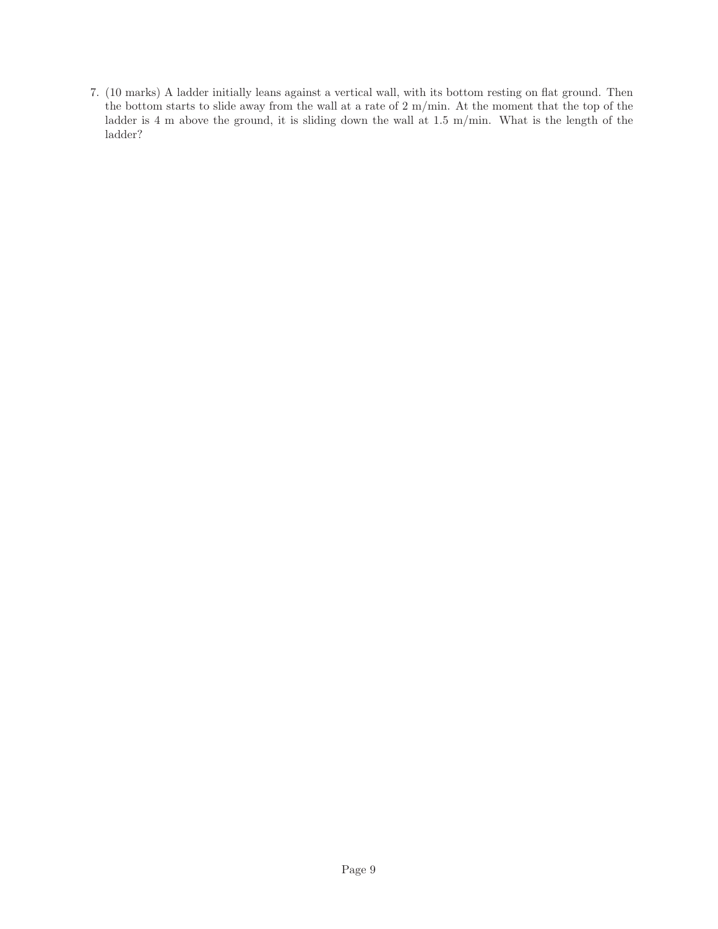7. (10 marks) A ladder initially leans against a vertical wall, with its bottom resting on flat ground. Then the bottom starts to slide away from the wall at a rate of 2 m/min. At the moment that the top of the ladder is 4 m above the ground, it is sliding down the wall at 1.5 m/min. What is the length of the ladder?